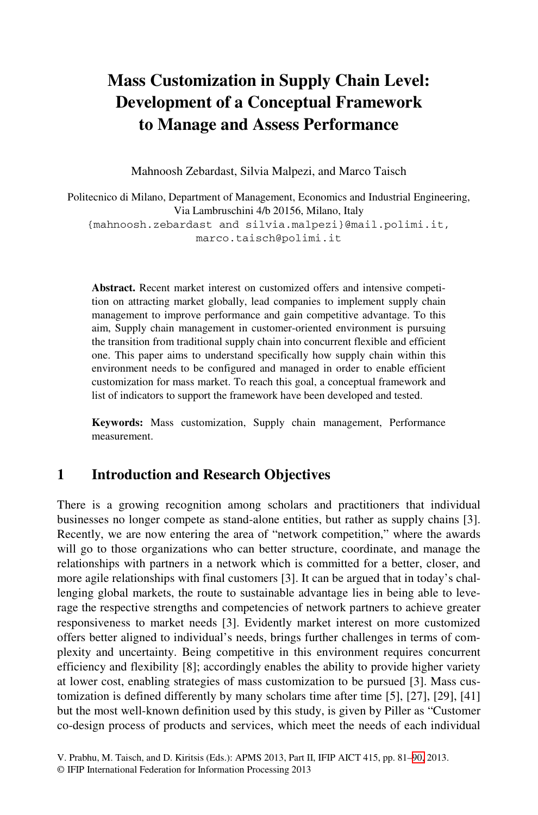# **Mass Customization in Supply Chain Level: Development of a Conceptual Framework to Manage and Assess Performance**

Mahnoosh Zebardast, Silvia Malpezi, and Marco Taisch

Politecnico di Milano, Department of Management, Economics and Industrial Engineering, Via Lambruschini 4/b 20156, Milano, Italy {mahnoosh.zebardast and silvia.malpezi}@mail.polimi.it, marco.taisch@polimi.it

**Abstract.** Recent market interest on customized offers and intensive competition on attracting market globally, lead companies to implement supply chain management to improve performance and gain competitive advantage. To this aim, Supply chain management in customer-oriented environment is pursuing the transition from traditional supply chain into concurrent flexible and efficient one. This paper aims to understand specifically how supply chain within this environment needs to be configured and managed in order to enable efficient customization for mass market. To reach this goal, a conceptual framework and list of indicators to support the framework have been developed and tested.

**Keywords:** Mass customization, Supply chain management, Performance measurement.

## **1 Introduction and Research Objectives**

There is a growing recognition among scholars and practitioners that individual businesses no longer compete as stand-alone entities, but rather as supply chains [3]. Recently, we are now entering the area of "network competition," where the awards will go to those organizations who can better structure, coordinate, and manage the relationships with partners in a network which is committed for a better, closer, and more agile relationships with final customers [3]. It can be argued that in today's challenging global markets, the route to sustainable advantage lies in being able to leverage the respective strengths and competencies of network partners to achieve greater responsiveness to market needs [3]. Evidently market interest on more customized offers better aligned to individual's needs, brings fu[rthe](#page-9-0)r challenges in terms of complexity and uncertainty. Being competitive in this environment requires concurrent efficiency and flexibility [8]; accordingly enables the ability to provide higher variety at lower cost, enabling strategies of mass customization to be pursued [3]. Mass customization is defined differently by many scholars time after time [5], [27], [29], [41] but the most well-known definition used by this study, is given by Piller as "Customer co-design process of products and services, which meet the needs of each individual

V. Prabhu, M. Taisch, and D. Kiritsis (Eds.): APMS 2013, Part II, IFIP AICT 415, pp. 81–90, 2013.

<sup>©</sup> IFIP International Federation for Information Processing 2013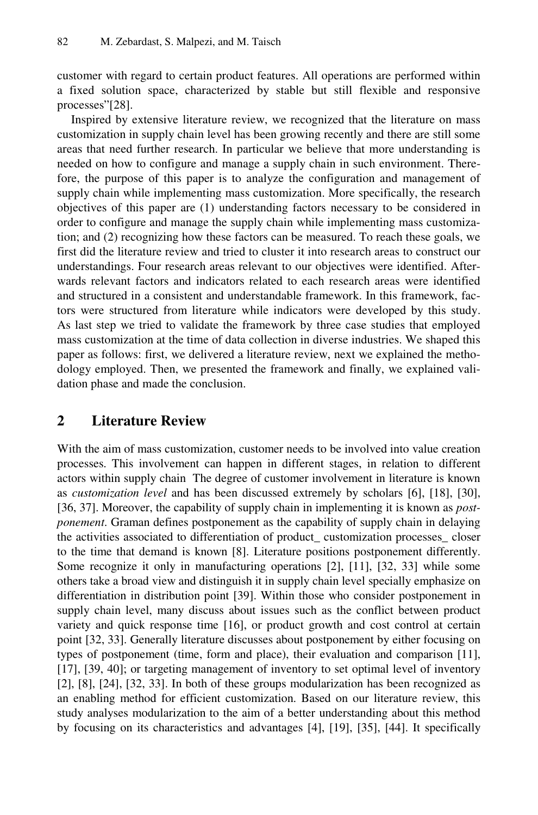customer with regard to certain product features. All operations are performed within a fixed solution space, characterized by stable but still flexible and responsive processes"[28].

Inspired by extensive literature review, we recognized that the literature on mass customization in supply chain level has been growing recently and there are still some areas that need further research. In particular we believe that more understanding is needed on how to configure and manage a supply chain in such environment. Therefore, the purpose of this paper is to analyze the configuration and management of supply chain while implementing mass customization. More specifically, the research objectives of this paper are (1) understanding factors necessary to be considered in order to configure and manage the supply chain while implementing mass customization; and (2) recognizing how these factors can be measured. To reach these goals, we first did the literature review and tried to cluster it into research areas to construct our understandings. Four research areas relevant to our objectives were identified. Afterwards relevant factors and indicators related to each research areas were identified and structured in a consistent and understandable framework. In this framework, factors were structured from literature while indicators were developed by this study. As last step we tried to validate the framework by three case studies that employed mass customization at the time of data collection in diverse industries. We shaped this paper as follows: first, we delivered a literature review, next we explained the methodology employed. Then, we presented the framework and finally, we explained validation phase and made the conclusion.

## **2 Literature Review**

With the aim of mass customization, customer needs to be involved into value creation processes. This involvement can happen in different stages, in relation to different actors within supply chain The degree of customer involvement in literature is known as *customization level* and has been discussed extremely by scholars [6], [18], [30], [36, 37]. Moreover, the capability of supply chain in implementing it is known as *postponement*. Graman defines postponement as the capability of supply chain in delaying the activities associated to differentiation of product\_ customization processes\_ closer to the time that demand is known [8]. Literature positions postponement differently. Some recognize it only in manufacturing operations [2], [11], [32, 33] while some others take a broad view and distinguish it in supply chain level specially emphasize on differentiation in distribution point [39]. Within those who consider postponement in supply chain level, many discuss about issues such as the conflict between product variety and quick response time [16], or product growth and cost control at certain point [32, 33]. Generally literature discusses about postponement by either focusing on types of postponement (time, form and place), their evaluation and comparison [11], [17], [39, 40]; or targeting management of inventory to set optimal level of inventory [2], [8], [24], [32, 33]. In both of these groups modularization has been recognized as an enabling method for efficient customization. Based on our literature review, this study analyses modularization to the aim of a better understanding about this method by focusing on its characteristics and advantages [4], [19], [35], [44]. It specifically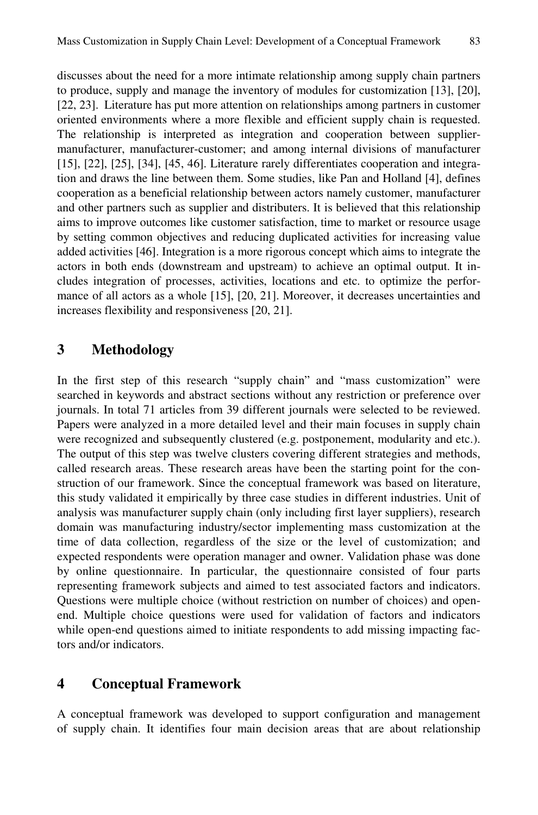discusses about the need for a more intimate relationship among supply chain partners to produce, supply and manage the inventory of modules for customization [13], [20], [22, 23]. Literature has put more attention on relationships among partners in customer oriented environments where a more flexible and efficient supply chain is requested. The relationship is interpreted as integration and cooperation between suppliermanufacturer, manufacturer-customer; and among internal divisions of manufacturer [15], [22], [25], [34], [45, 46]. Literature rarely differentiates cooperation and integration and draws the line between them. Some studies, like Pan and Holland [4], defines cooperation as a beneficial relationship between actors namely customer, manufacturer and other partners such as supplier and distributers. It is believed that this relationship aims to improve outcomes like customer satisfaction, time to market or resource usage by setting common objectives and reducing duplicated activities for increasing value added activities [46]. Integration is a more rigorous concept which aims to integrate the actors in both ends (downstream and upstream) to achieve an optimal output. It includes integration of processes, activities, locations and etc. to optimize the performance of all actors as a whole [15], [20, 21]. Moreover, it decreases uncertainties and increases flexibility and responsiveness [20, 21].

# **3 Methodology**

In the first step of this research "supply chain" and "mass customization" were searched in keywords and abstract sections without any restriction or preference over journals. In total 71 articles from 39 different journals were selected to be reviewed. Papers were analyzed in a more detailed level and their main focuses in supply chain were recognized and subsequently clustered (e.g. postponement, modularity and etc.). The output of this step was twelve clusters covering different strategies and methods, called research areas. These research areas have been the starting point for the construction of our framework. Since the conceptual framework was based on literature, this study validated it empirically by three case studies in different industries. Unit of analysis was manufacturer supply chain (only including first layer suppliers), research domain was manufacturing industry/sector implementing mass customization at the time of data collection, regardless of the size or the level of customization; and expected respondents were operation manager and owner. Validation phase was done by online questionnaire. In particular, the questionnaire consisted of four parts representing framework subjects and aimed to test associated factors and indicators. Questions were multiple choice (without restriction on number of choices) and openend. Multiple choice questions were used for validation of factors and indicators while open-end questions aimed to initiate respondents to add missing impacting factors and/or indicators.

## **4 Conceptual Framework**

A conceptual framework was developed to support configuration and management of supply chain. It identifies four main decision areas that are about relationship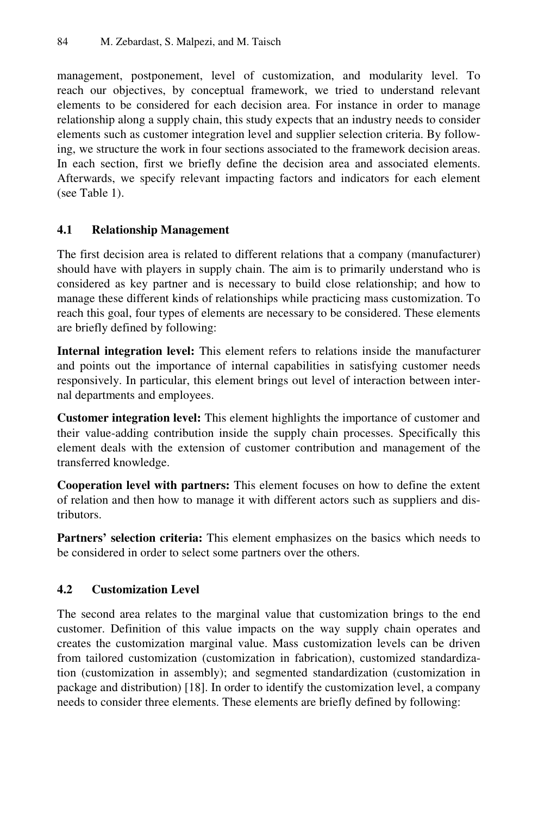management, postponement, level of customization, and modularity level. To reach our objectives, by conceptual framework, we tried to understand relevant elements to be considered for each decision area. For instance in order to manage relationship along a supply chain, this study expects that an industry needs to consider elements such as customer integration level and supplier selection criteria. By following, we structure the work in four sections associated to the framework decision areas. In each section, first we briefly define the decision area and associated elements. Afterwards, we specify relevant impacting factors and indicators for each element (see Table 1).

## **4.1 Relationship Management**

The first decision area is related to different relations that a company (manufacturer) should have with players in supply chain. The aim is to primarily understand who is considered as key partner and is necessary to build close relationship; and how to manage these different kinds of relationships while practicing mass customization. To reach this goal, four types of elements are necessary to be considered. These elements are briefly defined by following:

**Internal integration level:** This element refers to relations inside the manufacturer and points out the importance of internal capabilities in satisfying customer needs responsively. In particular, this element brings out level of interaction between internal departments and employees.

**Customer integration level:** This element highlights the importance of customer and their value-adding contribution inside the supply chain processes. Specifically this element deals with the extension of customer contribution and management of the transferred knowledge.

**Cooperation level with partners:** This element focuses on how to define the extent of relation and then how to manage it with different actors such as suppliers and distributors.

**Partners' selection criteria:** This element emphasizes on the basics which needs to be considered in order to select some partners over the others.

#### **4.2 Customization Level**

The second area relates to the marginal value that customization brings to the end customer. Definition of this value impacts on the way supply chain operates and creates the customization marginal value. Mass customization levels can be driven from tailored customization (customization in fabrication), customized standardization (customization in assembly); and segmented standardization (customization in package and distribution) [18]. In order to identify the customization level, a company needs to consider three elements. These elements are briefly defined by following: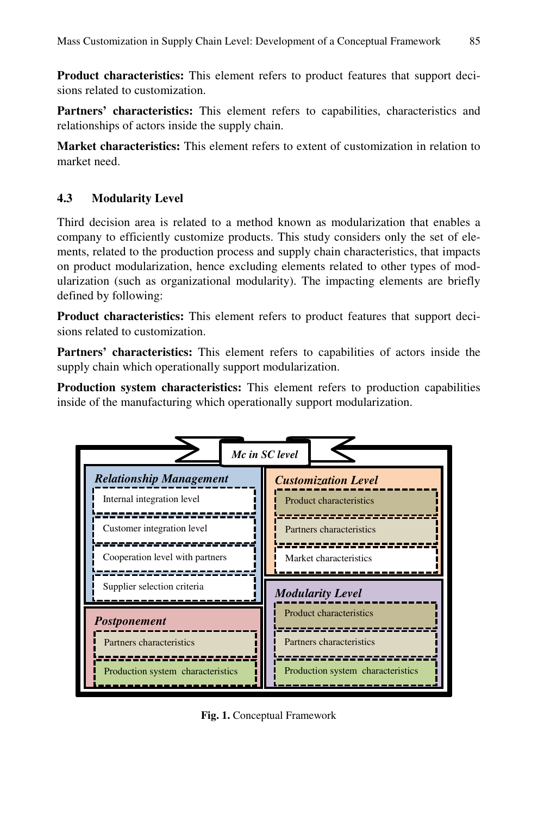**Product characteristics:** This element refers to product features that support decisions related to customization.

**Partners' characteristics:** This element refers to capabilities, characteristics and relationships of actors inside the supply chain.

**Market characteristics:** This element refers to extent of customization in relation to market need.

# **4.3 Modularity Level**

Third decision area is related to a method known as modularization that enables a company to efficiently customize products. This study considers only the set of elements, related to the production process and supply chain characteristics, that impacts on product modularization, hence excluding elements related to other types of modularization (such as organizational modularity). The impacting elements are briefly defined by following:

**Product characteristics:** This element refers to product features that support decisions related to customization.

**Partners' characteristics:** This element refers to capabilities of actors inside the supply chain which operationally support modularization.

**Production system characteristics:** This element refers to production capabilities inside of the manufacturing which operationally support modularization.



**Fig. 1.** Conceptual Framework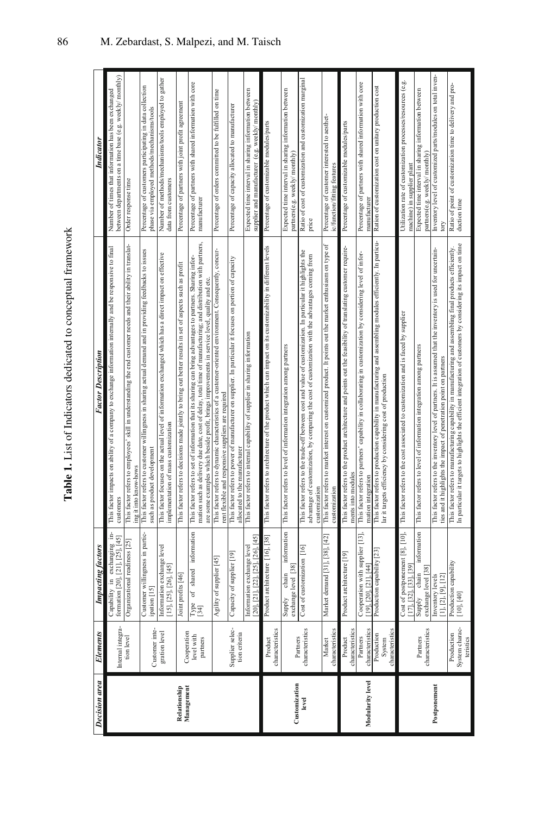| こうこう へいこう           |
|---------------------|
| こうきく りょく しゅうしゅくしゃ   |
|                     |
|                     |
| <b>CONCAST CASE</b> |
| $+$ $\frac{1}{2}$   |
| I                   |
|                     |
|                     |
|                     |

| Decision area              | <b>Elements</b>                           | Impacting factors                                                | <b>Factor Description</b>                                                                                                                                                                                                                                                                                                   | Indicator                                                                                                        |
|----------------------------|-------------------------------------------|------------------------------------------------------------------|-----------------------------------------------------------------------------------------------------------------------------------------------------------------------------------------------------------------------------------------------------------------------------------------------------------------------------|------------------------------------------------------------------------------------------------------------------|
|                            | Internal integra-                         | apability in exchanging in-<br>formation [20], [21], [25], [45]  | This factor impacts on ability of a company to exchange information internally and be responsive to final<br>customers                                                                                                                                                                                                      | between departments on a time base (e.g. weekly/ monthly)<br>Number of times that information has been exchanged |
|                            | tion level                                | rganizational readiness [25]<br>$\circ$                          | This factor refers to employees' skill in understanding the end customer needs and their ability in translat-<br>ing it into know-hows                                                                                                                                                                                      | Order response time                                                                                              |
|                            | Customer inte-                            | Customer willingness in partic-<br>ipation [15]                  | This factor refers to customer willingness in sharing actual demand and in providing feedbacks to issues<br>such as product development                                                                                                                                                                                     | Percentage of customers participating in data collection<br>phase via employed methods/mechanisms/tools          |
|                            | gration level                             | formation exchange level<br>15], [25], [26], [45]                | This factor focuses on the actual level of information exchanged which has a direct impact on effective<br>implementation of mass customization                                                                                                                                                                             | Number of methods/mechanisms/tools employed to gather<br>data from customers                                     |
| Relationship<br>Management | Cooperation                               | oint profits [46]                                                | This factor refers to decisions made jointly to bring out better results in set of aspects such as profit                                                                                                                                                                                                                   | Percentage of partners with joint profit agreement                                                               |
|                            | level with<br>partners                    | Type of shared information $\left[ 34\right]$                    | mation such as delivery due date, cost of delay, total time of manufacturing; and distribution with partners,<br>This factor refers to set of information that its sharing can bring advantages to partners. Sharing infor-<br>are some examples which beside profit, brings improvements in service level, quality and etc | Percentage of partners with shared information with core<br>manufacturer                                         |
|                            |                                           | Agility of supplier [45]                                         | This factor refers to dynamic characteristics of a customer-oriented environment. Consequently, concur-<br>rent flexible and responsive suppliers are required                                                                                                                                                              | Percentage of orders committed to be fulfilled on time                                                           |
|                            | Supplier selec-<br>tion criteria          | apacity of supplier [19]                                         | This factor refers to power of manufacturer on supplier. In particular it focuses on portion of capacity<br>allocated to the manufacturer                                                                                                                                                                                   | Percentage of capacity allocated to manufacturer                                                                 |
|                            |                                           | [20], [21], [22], [25], [26], [45]<br>Information exchange level | This factor refers to internal capability of supplier in sharing information                                                                                                                                                                                                                                                | Expected time interval in sharing information between<br>supplier and manufacturer (e.g. weekly/monthly)         |
|                            | characteristics<br>Product                | Product architecture [16], [38]                                  | This factor refers to architecture of the product which can impact on its customizability in different levels                                                                                                                                                                                                               | Percentage of customizable modules/parts                                                                         |
| Customization              | Partners                                  | information<br>exchange level [38]<br>chain<br>Supply            | This factor refers to level of information integration among partners                                                                                                                                                                                                                                                       | Expected time interval in sharing information between<br>partners(e.g. weekly/monthly)                           |
| level                      | <b>characteristics</b>                    | Cost of customization [16]                                       | This factor refers to the trade-off between cost and value of customization. In particular it highlights the<br>advantage of customization, by comparing the cost of customization with the advantages coming from<br>customization                                                                                         | Ratio of cost of customization and customization marginal<br>price                                               |
|                            | characteristics<br>Market                 | Market demand [31], [38], [42]                                   | This factor refers to market interest on customized product. It points out the market enthusiasm on type of<br>customization                                                                                                                                                                                                | Percentage of customer interested to aesthet-<br>ic/function/fitting features                                    |
|                            | characteristics<br>Product                | Product architecture [19]                                        | This factor refers to the product architecture and points out the feasibility of translating customer require-<br>ments into modules                                                                                                                                                                                        | Percentage of customizable modules/parts                                                                         |
| Modularity level           | characteristics<br>Partners               | Cooperation with supplier [13],<br>191, [20], [21], [44]         | This factor refers to partners' capability in collaborating in customization by considering level of infor-<br>mation integration                                                                                                                                                                                           | Percentage of partners with shared information with core<br>manufacturer                                         |
|                            | characteristics<br>Production<br>System   | Production capability [23]                                       | This factor refers to production capability in manufacturing and assembling modules efficiently. In particu-<br>lar it targets efficiency by considering cost of production                                                                                                                                                 | Ration of customization cost on unitary production cost                                                          |
|                            |                                           | lost of postponement [8], [10],<br>7], [32], [33], [39]          | This factor refers to the cost associated to customization and is faced by supplier                                                                                                                                                                                                                                         | Utilization rate of customization processes/resources (e.g.<br>machine) in supplier plant                        |
|                            | characteristics<br>Partners               | information<br>exchange level [38]<br>chain<br><b>Nddns</b>      | This factor refers to level of information integration among partners                                                                                                                                                                                                                                                       | Expected time interval in sharing information between<br>partners(e.g. weekly/monthly)                           |
| Postponement               |                                           | 1], [2], [9], [12]<br>nventory levels                            | This factor refers to the inventory level of partners. It is assumed that the inventory is used for uncertain-<br>ties and it highlights the impact of penetration point on partners                                                                                                                                        | Inventory level of customized parts/modules on total inven-<br>tory                                              |
|                            | System charac-<br>Production<br>teristics | roduction capability<br>10], [40]                                | In particular it targets to highlights the efficient integration of customers by considering its impact on time<br>This factor refers to manufacturing capability in manufacturing and assembling final products efficiently.                                                                                               | Ratio of point of customization time to delivery and pro-<br>duction time                                        |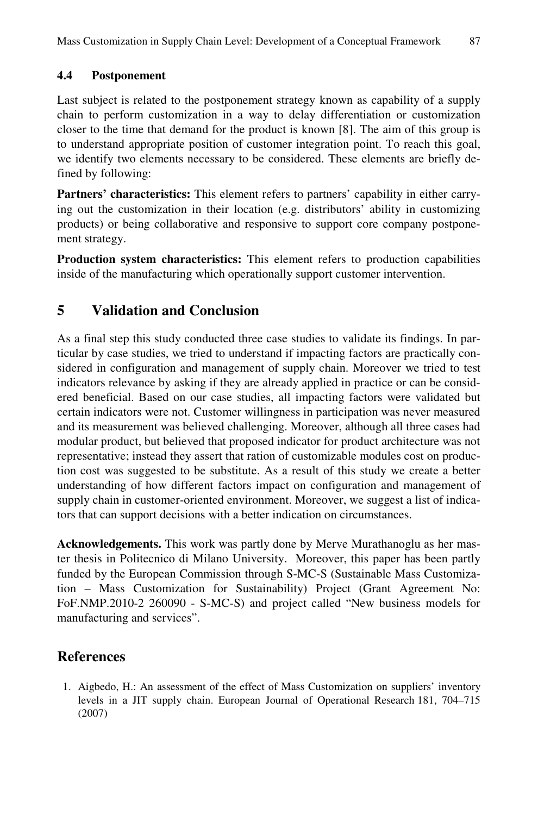#### **4.4 Postponement**

Last subject is related to the postponement strategy known as capability of a supply chain to perform customization in a way to delay differentiation or customization closer to the time that demand for the product is known [8]. The aim of this group is to understand appropriate position of customer integration point. To reach this goal, we identify two elements necessary to be considered. These elements are briefly defined by following:

**Partners' characteristics:** This element refers to partners' capability in either carrying out the customization in their location (e.g. distributors' ability in customizing products) or being collaborative and responsive to support core company postponement strategy.

**Production system characteristics:** This element refers to production capabilities inside of the manufacturing which operationally support customer intervention.

# **5 Validation and Conclusion**

As a final step this study conducted three case studies to validate its findings. In particular by case studies, we tried to understand if impacting factors are practically considered in configuration and management of supply chain. Moreover we tried to test indicators relevance by asking if they are already applied in practice or can be considered beneficial. Based on our case studies, all impacting factors were validated but certain indicators were not. Customer willingness in participation was never measured and its measurement was believed challenging. Moreover, although all three cases had modular product, but believed that proposed indicator for product architecture was not representative; instead they assert that ration of customizable modules cost on production cost was suggested to be substitute. As a result of this study we create a better understanding of how different factors impact on configuration and management of supply chain in customer-oriented environment. Moreover, we suggest a list of indicators that can support decisions with a better indication on circumstances.

**Acknowledgements.** This work was partly done by Merve Murathanoglu as her master thesis in Politecnico di Milano University. Moreover, this paper has been partly funded by the European Commission through S-MC-S (Sustainable Mass Customization – Mass Customization for Sustainability) Project (Grant Agreement No: FoF.NMP.2010-2 260090 - S-MC-S) and project called "New business models for manufacturing and services".

# **References**

1. Aigbedo, H.: An assessment of the effect of Mass Customization on suppliers' inventory levels in a JIT supply chain. European Journal of Operational Research 181, 704–715 (2007)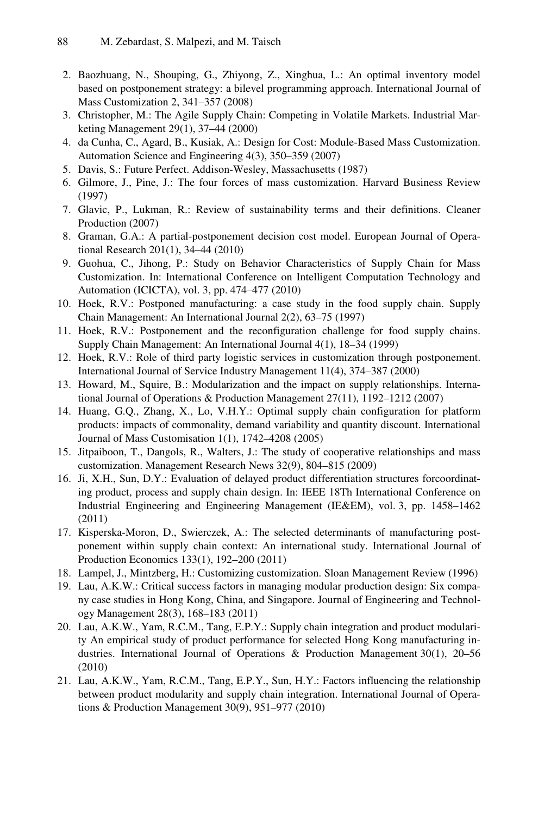- 2. Baozhuang, N., Shouping, G., Zhiyong, Z., Xinghua, L.: An optimal inventory model based on postponement strategy: a bilevel programming approach. International Journal of Mass Customization 2, 341–357 (2008)
- 3. Christopher, M.: The Agile Supply Chain: Competing in Volatile Markets. Industrial Marketing Management 29(1), 37–44 (2000)
- 4. da Cunha, C., Agard, B., Kusiak, A.: Design for Cost: Module-Based Mass Customization. Automation Science and Engineering 4(3), 350–359 (2007)
- 5. Davis, S.: Future Perfect. Addison-Wesley, Massachusetts (1987)
- 6. Gilmore, J., Pine, J.: The four forces of mass customization. Harvard Business Review (1997)
- 7. Glavic, P., Lukman, R.: Review of sustainability terms and their definitions. Cleaner Production (2007)
- 8. Graman, G.A.: A partial-postponement decision cost model. European Journal of Operational Research 201(1), 34–44 (2010)
- 9. Guohua, C., Jihong, P.: Study on Behavior Characteristics of Supply Chain for Mass Customization. In: International Conference on Intelligent Computation Technology and Automation (ICICTA), vol. 3, pp. 474–477 (2010)
- 10. Hoek, R.V.: Postponed manufacturing: a case study in the food supply chain. Supply Chain Management: An International Journal 2(2), 63–75 (1997)
- 11. Hoek, R.V.: Postponement and the reconfiguration challenge for food supply chains. Supply Chain Management: An International Journal 4(1), 18–34 (1999)
- 12. Hoek, R.V.: Role of third party logistic services in customization through postponement. International Journal of Service Industry Management 11(4), 374–387 (2000)
- 13. Howard, M., Squire, B.: Modularization and the impact on supply relationships. International Journal of Operations & Production Management 27(11), 1192–1212 (2007)
- 14. Huang, G.Q., Zhang, X., Lo, V.H.Y.: Optimal supply chain configuration for platform products: impacts of commonality, demand variability and quantity discount. International Journal of Mass Customisation 1(1), 1742–4208 (2005)
- 15. Jitpaiboon, T., Dangols, R., Walters, J.: The study of cooperative relationships and mass customization. Management Research News 32(9), 804–815 (2009)
- 16. Ji, X.H., Sun, D.Y.: Evaluation of delayed product differentiation structures forcoordinating product, process and supply chain design. In: IEEE 18Th International Conference on Industrial Engineering and Engineering Management (IE&EM), vol. 3, pp. 1458–1462 (2011)
- 17. Kisperska-Moron, D., Swierczek, A.: The selected determinants of manufacturing postponement within supply chain context: An international study. International Journal of Production Economics 133(1), 192–200 (2011)
- 18. Lampel, J., Mintzberg, H.: Customizing customization. Sloan Management Review (1996)
- 19. Lau, A.K.W.: Critical success factors in managing modular production design: Six company case studies in Hong Kong, China, and Singapore. Journal of Engineering and Technology Management 28(3), 168–183 (2011)
- 20. Lau, A.K.W., Yam, R.C.M., Tang, E.P.Y.: Supply chain integration and product modularity An empirical study of product performance for selected Hong Kong manufacturing industries. International Journal of Operations & Production Management 30(1), 20–56 (2010)
- 21. Lau, A.K.W., Yam, R.C.M., Tang, E.P.Y., Sun, H.Y.: Factors influencing the relationship between product modularity and supply chain integration. International Journal of Operations & Production Management 30(9), 951–977 (2010)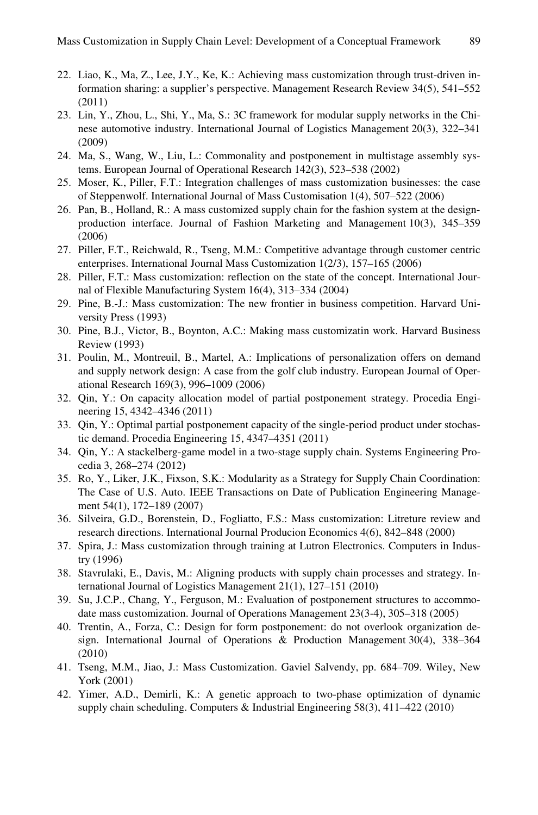- 22. Liao, K., Ma, Z., Lee, J.Y., Ke, K.: Achieving mass customization through trust-driven information sharing: a supplier's perspective. Management Research Review 34(5), 541–552 (2011)
- 23. Lin, Y., Zhou, L., Shi, Y., Ma, S.: 3C framework for modular supply networks in the Chinese automotive industry. International Journal of Logistics Management 20(3), 322–341 (2009)
- 24. Ma, S., Wang, W., Liu, L.: Commonality and postponement in multistage assembly systems. European Journal of Operational Research 142(3), 523–538 (2002)
- 25. Moser, K., Piller, F.T.: Integration challenges of mass customization businesses: the case of Steppenwolf. International Journal of Mass Customisation 1(4), 507–522 (2006)
- 26. Pan, B., Holland, R.: A mass customized supply chain for the fashion system at the designproduction interface. Journal of Fashion Marketing and Management 10(3), 345–359 (2006)
- 27. Piller, F.T., Reichwald, R., Tseng, M.M.: Competitive advantage through customer centric enterprises. International Journal Mass Customization 1(2/3), 157–165 (2006)
- 28. Piller, F.T.: Mass customization: reflection on the state of the concept. International Journal of Flexible Manufacturing System 16(4), 313–334 (2004)
- 29. Pine, B.-J.: Mass customization: The new frontier in business competition. Harvard University Press (1993)
- 30. Pine, B.J., Victor, B., Boynton, A.C.: Making mass customizatin work. Harvard Business Review (1993)
- 31. Poulin, M., Montreuil, B., Martel, A.: Implications of personalization offers on demand and supply network design: A case from the golf club industry. European Journal of Operational Research 169(3), 996–1009 (2006)
- 32. Qin, Y.: On capacity allocation model of partial postponement strategy. Procedia Engineering 15, 4342–4346 (2011)
- 33. Qin, Y.: Optimal partial postponement capacity of the single-period product under stochastic demand. Procedia Engineering 15, 4347–4351 (2011)
- 34. Qin, Y.: A stackelberg-game model in a two-stage supply chain. Systems Engineering Procedia 3, 268–274 (2012)
- 35. Ro, Y., Liker, J.K., Fixson, S.K.: Modularity as a Strategy for Supply Chain Coordination: The Case of U.S. Auto. IEEE Transactions on Date of Publication Engineering Management 54(1), 172–189 (2007)
- 36. Silveira, G.D., Borenstein, D., Fogliatto, F.S.: Mass customization: Litreture review and research directions. International Journal Producion Economics 4(6), 842–848 (2000)
- 37. Spira, J.: Mass customization through training at Lutron Electronics. Computers in Industry (1996)
- 38. Stavrulaki, E., Davis, M.: Aligning products with supply chain processes and strategy. International Journal of Logistics Management 21(1), 127–151 (2010)
- 39. Su, J.C.P., Chang, Y., Ferguson, M.: Evaluation of postponement structures to accommodate mass customization. Journal of Operations Management 23(3-4), 305–318 (2005)
- 40. Trentin, A., Forza, C.: Design for form postponement: do not overlook organization design. International Journal of Operations & Production Management 30(4), 338–364 (2010)
- 41. Tseng, M.M., Jiao, J.: Mass Customization. Gaviel Salvendy, pp. 684–709. Wiley, New York (2001)
- 42. Yimer, A.D., Demirli, K.: A genetic approach to two-phase optimization of dynamic supply chain scheduling. Computers & Industrial Engineering 58(3), 411–422 (2010)